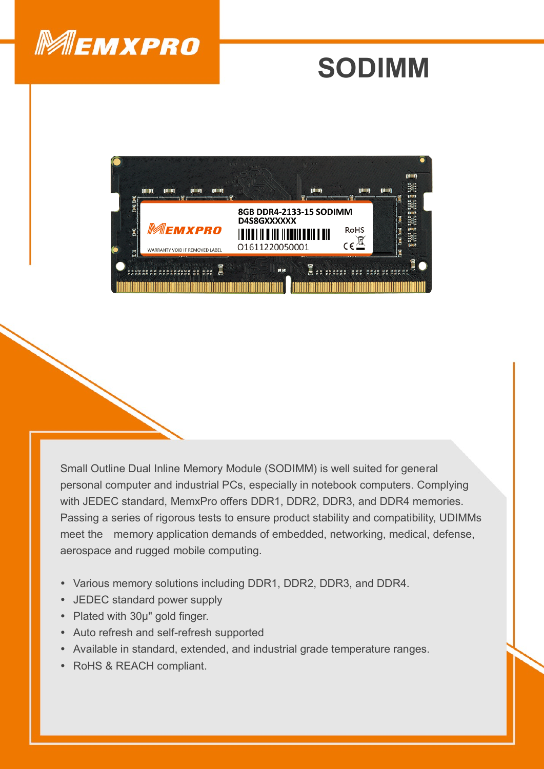

## **SODIMM**



Small Outline Dual Inline Memory Module (SODIMM) is well suited for general personal computer and industrial PCs, especially in notebook computers. Complying with JEDEC standard, MemxPro offers DDR1, DDR2, DDR3, and DDR4 memories. Passing a series of rigorous tests to ensure product stability and compatibility, UDIMMs meet the memory application demands of embedded, networking, medical, defense, aerospace and rugged mobile computing.

- Various memory solutions including DDR1, DDR2, DDR3, and DDR4.
- JEDEC standard power supply
- Plated with 30µ" gold finger.
- Auto refresh and self-refresh supported
- Available in standard, extended, and industrial grade temperature ranges.
- RoHS & REACH compliant.